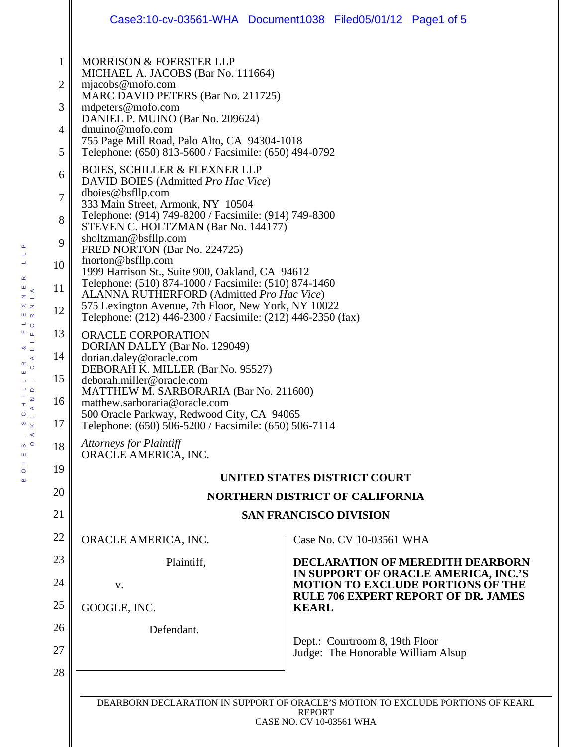|                                                                                                            | Case3:10-cv-03561-WHA Document1038 Filed05/01/12 Page1 of 5                                                                                                                                                                                                                                                                                                                                                                                                                                                                                                                                                                                                                                                                                                                                                                                                                                                                                                                                                                                                                                                                                                                                                                                                             |  |                                                                                  |                                         |  |
|------------------------------------------------------------------------------------------------------------|-------------------------------------------------------------------------------------------------------------------------------------------------------------------------------------------------------------------------------------------------------------------------------------------------------------------------------------------------------------------------------------------------------------------------------------------------------------------------------------------------------------------------------------------------------------------------------------------------------------------------------------------------------------------------------------------------------------------------------------------------------------------------------------------------------------------------------------------------------------------------------------------------------------------------------------------------------------------------------------------------------------------------------------------------------------------------------------------------------------------------------------------------------------------------------------------------------------------------------------------------------------------------|--|----------------------------------------------------------------------------------|-----------------------------------------|--|
| $\mathbf{1}$<br>2<br>3<br>4<br>5<br>6<br>7<br>8<br>9<br>10<br>11<br>12<br>13<br>14<br>15<br>16<br>17<br>18 | <b>MORRISON &amp; FOERSTER LLP</b><br>MICHAEL A. JACOBS (Bar No. 111664)<br>mjacobs@mofo.com<br>MARC DAVID PETERS (Bar No. 211725)<br>mdpeters@mofo.com<br>DANIEL P. MUINO (Bar No. 209624)<br>dmuino@mofo.com<br>755 Page Mill Road, Palo Alto, CA 94304-1018<br>Telephone: (650) 813-5600 / Facsimile: (650) 494-0792<br><b>BOIES, SCHILLER &amp; FLEXNER LLP</b><br>DAVID BOIES (Admitted Pro Hac Vice)<br>dboies@bsfllp.com<br>333 Main Street, Armonk, NY 10504<br>Telephone: (914) 749-8200 / Facsimile: (914) 749-8300<br>STEVEN C. HOLTZMAN (Bar No. 144177)<br>sholtzman@bsfllp.com<br>FRED NORTON (Bar No. 224725)<br>fnorton@bsfllp.com<br>1999 Harrison St., Suite 900, Oakland, CA 94612<br>Telephone: (510) 874-1000 / Facsimile: (510) 874-1460<br>ALANNA RUTHERFORD (Admitted Pro Hac Vice)<br>575 Lexington Avenue, 7th Floor, New York, NY 10022<br>Telephone: (212) 446-2300 / Facsimile: (212) 446-2350 (fax)<br>ORACLE CORPORATION<br>DORIAN DALEY (Bar No. 129049)<br>dorian.daley@oracle.com<br>DEBORAH K. MILLER (Bar No. 95527)<br>deborah.miller@oracle.com<br>MATTHEW M. SARBORARIA (Bar No. 211600)<br>matthew.sarboraria@oracle.com<br>500 Oracle Parkway, Redwood City, CA 94065<br>Telephone: (650) 506-5200 / Facsimile: (650) 506-7114 |  |                                                                                  |                                         |  |
| 19                                                                                                         | UNITED STATES DISTRICT COURT                                                                                                                                                                                                                                                                                                                                                                                                                                                                                                                                                                                                                                                                                                                                                                                                                                                                                                                                                                                                                                                                                                                                                                                                                                            |  |                                                                                  |                                         |  |
| 20                                                                                                         | <b>NORTHERN DISTRICT OF CALIFORNIA</b>                                                                                                                                                                                                                                                                                                                                                                                                                                                                                                                                                                                                                                                                                                                                                                                                                                                                                                                                                                                                                                                                                                                                                                                                                                  |  |                                                                                  |                                         |  |
| 21                                                                                                         | <b>SAN FRANCISCO DIVISION</b>                                                                                                                                                                                                                                                                                                                                                                                                                                                                                                                                                                                                                                                                                                                                                                                                                                                                                                                                                                                                                                                                                                                                                                                                                                           |  |                                                                                  |                                         |  |
| 22                                                                                                         | ORACLE AMERICA, INC.                                                                                                                                                                                                                                                                                                                                                                                                                                                                                                                                                                                                                                                                                                                                                                                                                                                                                                                                                                                                                                                                                                                                                                                                                                                    |  | Case No. CV 10-03561 WHA                                                         |                                         |  |
| 23                                                                                                         | Plaintiff,                                                                                                                                                                                                                                                                                                                                                                                                                                                                                                                                                                                                                                                                                                                                                                                                                                                                                                                                                                                                                                                                                                                                                                                                                                                              |  |                                                                                  | <b>DECLARATION OF MEREDITH DEARBORN</b> |  |
| 24                                                                                                         | V.                                                                                                                                                                                                                                                                                                                                                                                                                                                                                                                                                                                                                                                                                                                                                                                                                                                                                                                                                                                                                                                                                                                                                                                                                                                                      |  | IN SUPPORT OF ORACLE AMERICA, INC.'S<br><b>MOTION TO EXCLUDE PORTIONS OF THE</b> |                                         |  |
| 25                                                                                                         | GOOGLE, INC.                                                                                                                                                                                                                                                                                                                                                                                                                                                                                                                                                                                                                                                                                                                                                                                                                                                                                                                                                                                                                                                                                                                                                                                                                                                            |  | <b>RULE 706 EXPERT REPORT OF DR. JAMES</b><br><b>KEARL</b>                       |                                         |  |
| 26                                                                                                         | Defendant.                                                                                                                                                                                                                                                                                                                                                                                                                                                                                                                                                                                                                                                                                                                                                                                                                                                                                                                                                                                                                                                                                                                                                                                                                                                              |  | Dept.: Courtroom 8, 19th Floor<br>Judge: The Honorable William Alsup             |                                         |  |
| 27                                                                                                         |                                                                                                                                                                                                                                                                                                                                                                                                                                                                                                                                                                                                                                                                                                                                                                                                                                                                                                                                                                                                                                                                                                                                                                                                                                                                         |  |                                                                                  |                                         |  |
| 28                                                                                                         |                                                                                                                                                                                                                                                                                                                                                                                                                                                                                                                                                                                                                                                                                                                                                                                                                                                                                                                                                                                                                                                                                                                                                                                                                                                                         |  |                                                                                  |                                         |  |
|                                                                                                            |                                                                                                                                                                                                                                                                                                                                                                                                                                                                                                                                                                                                                                                                                                                                                                                                                                                                                                                                                                                                                                                                                                                                                                                                                                                                         |  |                                                                                  |                                         |  |

DEARBORN DECLARATION IN SUPPORT OF ORACLE'S MOTION TO EXCLUDE PORTIONS OF KEARL REPORT CASE NO. CV 10-03561 WHA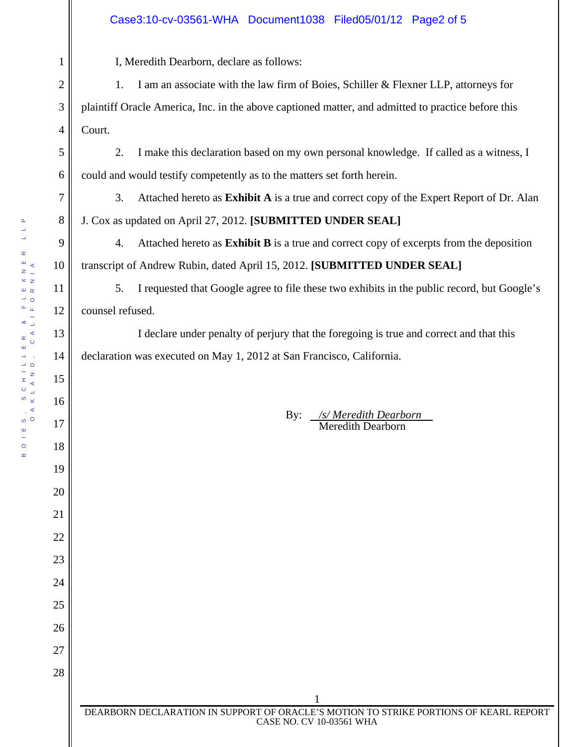#### Case3:10-cv-03561-WHA Document1038 Filed05/01/12 Page2 of 5

I, Meredith Dearborn, declare as follows:

1. I am an associate with the law firm of Boies, Schiller & Flexner LLP, attorneys for plaintiff Oracle America, Inc. in the above captioned matter, and admitted to practice before this Court.

2. I make this declaration based on my own personal knowledge. If called as a witness, I could and would testify competently as to the matters set forth herein.

3. Attached hereto as **Exhibit A** is a true and correct copy of the Expert Report of Dr. Alan J. Cox as updated on April 27, 2012. **[SUBMITTED UNDER SEAL]**

4. Attached hereto as **Exhibit B** is a true and correct copy of excerpts from the deposition transcript of Andrew Rubin, dated April 15, 2012. **[SUBMITTED UNDER SEAL]**

5. I requested that Google agree to file these two exhibits in the public record, but Google's counsel refused.

 I declare under penalty of perjury that the foregoing is true and correct and that this declaration was executed on May 1, 2012 at San Francisco, California.

> By: */s/ Meredith Dearborn*  Meredith Dearborn

1

2

3

4

5

6

7

8

9

10

11

12

13

14

15

16

17

18

19

20

21

22

23

24

25

26

27

28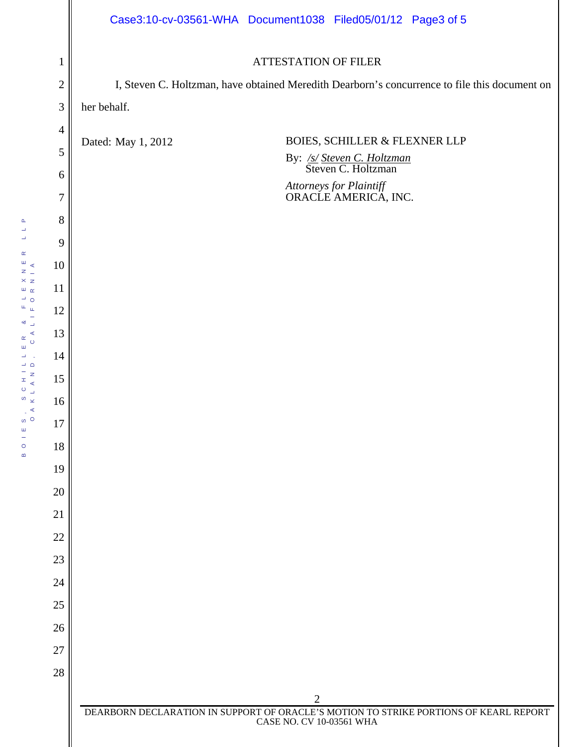|                  | Case3:10-cv-03561-WHA Document1038 Filed05/01/12 Page3 of 5                                                       |  |  |  |  |
|------------------|-------------------------------------------------------------------------------------------------------------------|--|--|--|--|
| $\mathbf{1}$     | <b>ATTESTATION OF FILER</b>                                                                                       |  |  |  |  |
| $\sqrt{2}$       | I, Steven C. Holtzman, have obtained Meredith Dearborn's concurrence to file this document on                     |  |  |  |  |
| $\mathfrak{Z}$   | her behalf.                                                                                                       |  |  |  |  |
| $\overline{4}$   |                                                                                                                   |  |  |  |  |
| $\sqrt{5}$       | BOIES, SCHILLER & FLEXNER LLP<br>Dated: May 1, 2012                                                               |  |  |  |  |
| $\boldsymbol{6}$ | By: <u>/s/ Steven C. Holtzman</u><br>Steven C. Holtzman                                                           |  |  |  |  |
| 7                | Attorneys for Plaintiff<br>ORACLE AMERICA, INC.                                                                   |  |  |  |  |
| $8\,$            |                                                                                                                   |  |  |  |  |
| 9                |                                                                                                                   |  |  |  |  |
| 10               |                                                                                                                   |  |  |  |  |
| 11               |                                                                                                                   |  |  |  |  |
| 12               |                                                                                                                   |  |  |  |  |
| 13               |                                                                                                                   |  |  |  |  |
| 14               |                                                                                                                   |  |  |  |  |
| 15               |                                                                                                                   |  |  |  |  |
| 16               |                                                                                                                   |  |  |  |  |
| 17               |                                                                                                                   |  |  |  |  |
| 18               |                                                                                                                   |  |  |  |  |
| 19<br>20         |                                                                                                                   |  |  |  |  |
| 21               |                                                                                                                   |  |  |  |  |
| 22               |                                                                                                                   |  |  |  |  |
| 23               |                                                                                                                   |  |  |  |  |
| 24               |                                                                                                                   |  |  |  |  |
| 25               |                                                                                                                   |  |  |  |  |
| 26               |                                                                                                                   |  |  |  |  |
| 27               |                                                                                                                   |  |  |  |  |
| 28               |                                                                                                                   |  |  |  |  |
|                  | $\overline{2}$                                                                                                    |  |  |  |  |
|                  | DEARBORN DECLARATION IN SUPPORT OF ORACLE'S MOTION TO STRIKE PORTIONS OF KEARL REPORT<br>CASE NO. CV 10-03561 WHA |  |  |  |  |
|                  |                                                                                                                   |  |  |  |  |

BOIES, SCHILLER & FLEXNER LLP OAKLAND, CALIFORNIA

BOIES, SCHILLER & FLEXNER<br>OAKLAND, CALIFORNIA

 $\begin{array}{c} \mathsf{L} \quad \mathsf{L} \quad \mathsf{P} \end{array}$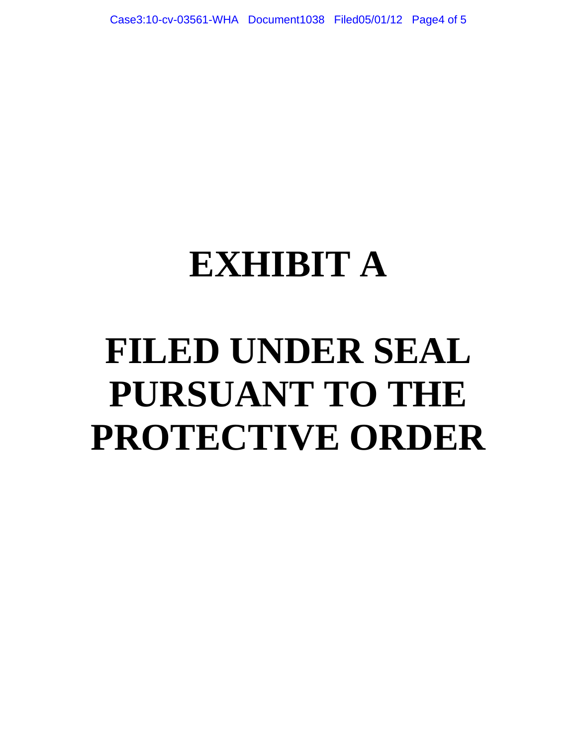# **EXHIBIT A**

# **FILED UNDER SEAL PURSUANT TO THE PROTECTIVE ORDER**